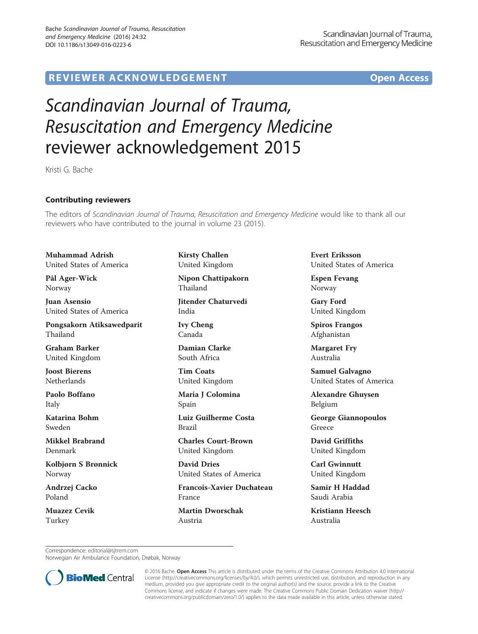## R EVI EW E R ACKNOW L EDG EM EN T Open Access

## Scandinavian Journal of Trauma, Resuscitation and Emergency Medicine reviewer acknowledgement 2015

Kristi G. Bache

## Contributing reviewers

The editors of Scandinavian Journal of Trauma, Resuscitation and Emergency Medicine would like to thank all our reviewers who have contributed to the journal in volume 23 (2015).

Muhammad Adrish United States of America

Pål Ager-Wick Norway

Juan Asensio United States of America

Pongsakorn Atiksawedparit Thailand

Graham Barker United Kingdom

Joost Bierens Netherlands

Paolo Boffano Italy

Katarina Bohm Sweden

Mikkel Brabrand Denmark

Kolbjørn S Brønnick Norway

Andrzej Cacko Poland

Muazez Cevik Turkey

Kirsty Challen United Kingdom

Nipon Chattipakorn Thailand

Jitender Chaturvedi India

Ivy Cheng Canada

Damian Clarke South Africa

Tim Coats United Kingdom

Maria J Colomina Spain

Luiz Guilherme Costa Brazil

Charles Court-Brown United Kingdom

David Dries United States of America

Francois-Xavier Duchateau France

Martin Dworschak Austria

Evert Eriksson United States of America

Espen Fevang Norway

Gary Ford United Kingdom

Spiros Frangos Afghanistan

Margaret Fry Australia

Samuel Galvagno United States of America

Alexandre Ghuysen Belgium

George Giannopoulos Greece

David Griffiths United Kingdom

Carl Gwinnutt United Kingdom

Samir H Haddad Saudi Arabia

Kristiann Heesch Australia

Correspondence: [editorial@sjtrem.com](mailto:editorial@sjtrem.com)

Norwegian Air Ambulance Foundation, Drøbak, Norway



© 2016 Bache. Open Access This article is distributed under the terms of the Creative Commons Attribution 4.0 International License ([http://creativecommons.org/licenses/by/4.0/\)](http://creativecommons.org/licenses/by/4.0/), which permits unrestricted use, distribution, and reproduction in any medium, provided you give appropriate credit to the original author(s) and the source, provide a link to the Creative Commons license, and indicate if changes were made. The Creative Commons Public Domain Dedication waiver ([http://](http://creativecommons.org/publicdomain/zero/1.0/) [creativecommons.org/publicdomain/zero/1.0/\)](http://creativecommons.org/publicdomain/zero/1.0/) applies to the data made available in this article, unless otherwise stated.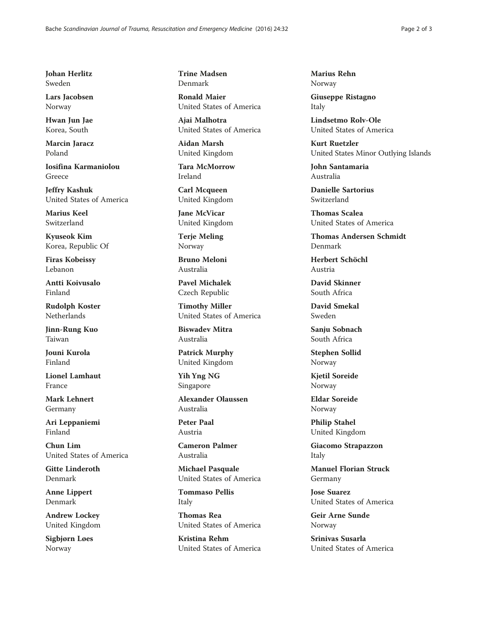Johan Herlitz Sweden

Lars Jacobsen Norway

Hwan Jun Jae Korea, South

Marcin Jaracz Poland

Iosifina Karmaniolou Greece

Jeffry Kashuk United States of America

Marius Keel Switzerland

Kyuseok Kim Korea, Republic Of

Firas Kobeissy Lebanon

Antti Koivusalo Finland

Rudolph Koster Netherlands

Jinn-Rung Kuo Taiwan

Jouni Kurola Finland

Lionel Lamhaut France

Mark Lehnert Germany

Ari Leppaniemi Finland

Chun Lim United States of America

Gitte Linderoth Denmark

Anne Lippert Denmark

Andrew Lockey United Kingdom

Sigbjørn Løes Norway

Trine Madsen Denmark

Ronald Maier United States of America

Ajai Malhotra United States of America

Aidan Marsh United Kingdom

Tara McMorrow Ireland

Carl Mcqueen United Kingdom

Jane McVicar United Kingdom

Terje Meling Norway

Bruno Meloni Australia

Pavel Michalek Czech Republic

Timothy Miller United States of America

Biswadev Mitra Australia

Patrick Murphy United Kingdom

Yih Yng NG Singapore

Alexander Olaussen Australia

Peter Paal Austria

Cameron Palmer Australia

Michael Pasquale United States of America

Tommaso Pellis Italy

Thomas Rea United States of America

Kristina Rehm United States of America Marius Rehn Norway

Giuseppe Ristagno Italy

Lindsetmo Rolv-Ole United States of America

Kurt Ruetzler United States Minor Outlying Islands

John Santamaria Australia

Danielle Sartorius Switzerland

Thomas Scalea United States of America

Thomas Andersen Schmidt Denmark

Herbert Schöchl Austria

David Skinner South Africa

David Smekal Sweden

Sanju Sobnach South Africa

Stephen Sollid Norway

Kjetil Soreide Norway

Eldar Soreide Norway

Philip Stahel United Kingdom

Giacomo Strapazzon Italy

Manuel Florian Struck Germany

Jose Suarez United States of America

Geir Arne Sunde Norway

Srinivas Susarla United States of America